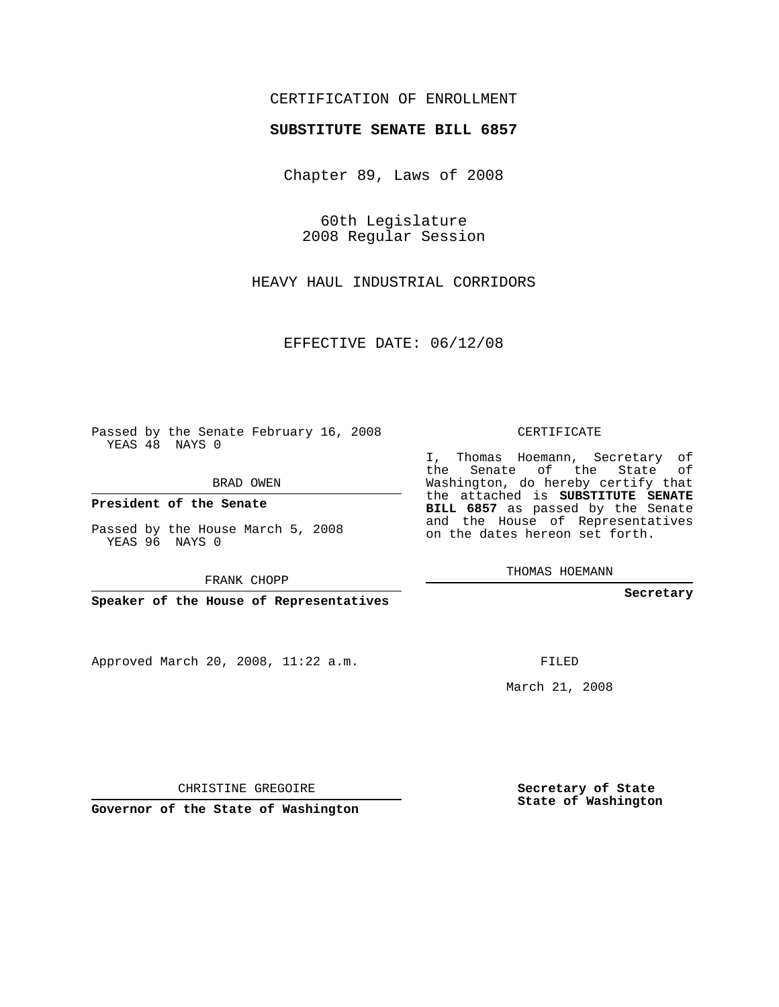# CERTIFICATION OF ENROLLMENT

### **SUBSTITUTE SENATE BILL 6857**

Chapter 89, Laws of 2008

60th Legislature 2008 Regular Session

HEAVY HAUL INDUSTRIAL CORRIDORS

EFFECTIVE DATE: 06/12/08

Passed by the Senate February 16, 2008 YEAS 48 NAYS 0

BRAD OWEN

**President of the Senate**

Passed by the House March 5, 2008 YEAS 96 NAYS 0

FRANK CHOPP

**Speaker of the House of Representatives**

Approved March 20, 2008, 11:22 a.m.

CERTIFICATE

I, Thomas Hoemann, Secretary of the Senate of the State of Washington, do hereby certify that the attached is **SUBSTITUTE SENATE BILL 6857** as passed by the Senate and the House of Representatives on the dates hereon set forth.

THOMAS HOEMANN

**Secretary**

FILED

March 21, 2008

**Secretary of State State of Washington**

CHRISTINE GREGOIRE

**Governor of the State of Washington**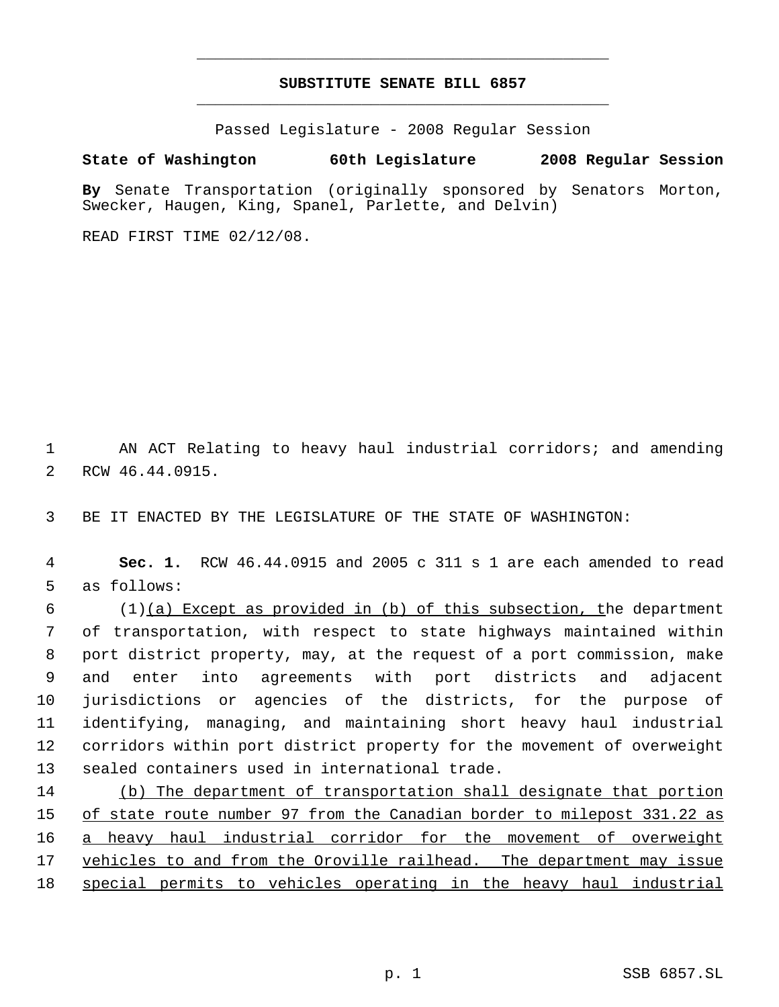# **SUBSTITUTE SENATE BILL 6857** \_\_\_\_\_\_\_\_\_\_\_\_\_\_\_\_\_\_\_\_\_\_\_\_\_\_\_\_\_\_\_\_\_\_\_\_\_\_\_\_\_\_\_\_\_

\_\_\_\_\_\_\_\_\_\_\_\_\_\_\_\_\_\_\_\_\_\_\_\_\_\_\_\_\_\_\_\_\_\_\_\_\_\_\_\_\_\_\_\_\_

Passed Legislature - 2008 Regular Session

### **State of Washington 60th Legislature 2008 Regular Session**

**By** Senate Transportation (originally sponsored by Senators Morton, Swecker, Haugen, King, Spanel, Parlette, and Delvin)

READ FIRST TIME 02/12/08.

 AN ACT Relating to heavy haul industrial corridors; and amending RCW 46.44.0915.

BE IT ENACTED BY THE LEGISLATURE OF THE STATE OF WASHINGTON:

 **Sec. 1.** RCW 46.44.0915 and 2005 c 311 s 1 are each amended to read as follows:

 (1)(a) Except as provided in (b) of this subsection, the department of transportation, with respect to state highways maintained within port district property, may, at the request of a port commission, make and enter into agreements with port districts and adjacent jurisdictions or agencies of the districts, for the purpose of identifying, managing, and maintaining short heavy haul industrial corridors within port district property for the movement of overweight sealed containers used in international trade.

 (b) The department of transportation shall designate that portion 15 of state route number 97 from the Canadian border to milepost 331.22 as a heavy haul industrial corridor for the movement of overweight vehicles to and from the Oroville railhead. The department may issue special permits to vehicles operating in the heavy haul industrial